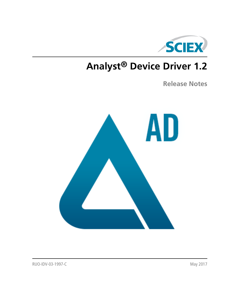

# **Analyst® Device Driver 1.2**

**Release Notes**

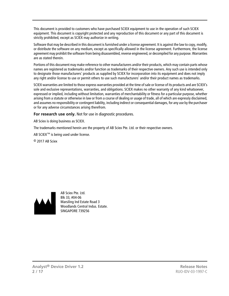This document is provided to customers who have purchased SCIEX equipment to use in the operation of such SCIEX equipment. This document is copyright protected and any reproduction of this document or any part of this document is strictly prohibited, except as SCIEX may authorize in writing.

Software that may be described in this document is furnished under a license agreement. It is against the law to copy, modify, or distribute the software on any medium, except as specifically allowed in the license agreement. Furthermore, the license agreement may prohibit the software from being disassembled, reverse engineered, or decompiled for any purpose. Warranties are as stated therein.

Portions of this document may make reference to other manufacturers and/or their products, which may contain parts whose names are registered as trademarks and/or function as trademarks of their respective owners. Any such use is intended only to designate those manufacturers' products as supplied by SCIEX for incorporation into its equipment and does not imply any right and/or license to use or permit others to use such manufacturers' and/or their product names as trademarks.

SCIEX warranties are limited to those express warranties provided at the time of sale or license of its products and are SCIEX's sole and exclusive representations, warranties, and obligations. SCIEX makes no other warranty of any kind whatsoever, expressed or implied, including without limitation, warranties of merchantability or fitness for a particular purpose, whether arising from a statute or otherwise in law or from a course of dealing or usage of trade, all of which are expressly disclaimed, and assumes no responsibility or contingent liability, including indirect or consequential damages, for any use by the purchaser or for any adverse circumstances arising therefrom.

**For research use only.** Not for use in diagnostic procedures.

AB Sciex is doing business as SCIEX.

The trademarks mentioned herein are the property of AB Sciex Pte. Ltd. or their respective owners.

AB SCIEX<sup>™</sup> is being used under license.

 $\circ$  2017 AB Sciex



AB Sciex Pte. Ltd. Blk 33, #04-06 Marsiling Ind Estate Road 3 Woodlands Central Indus. Estate. SINGAPORE 739256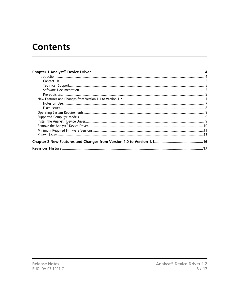## **Contents**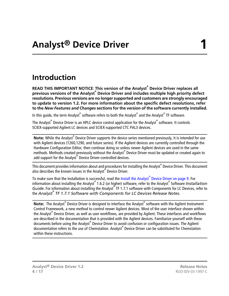## <span id="page-3-1"></span><span id="page-3-0"></span>**Introduction**

**READ THIS IMPORTANT NOTICE**: **This version of the Analyst® Device Driver replaces all previous versions of the Analyst® Device Driver and includes multiple high priority defect resolutions. Previous versions are no longer supported and customers are strongly encouraged to update to version 1.2. For more information about the specific defect resolutions, refer to the** *New Features and Changes* **sections for the version of the software currently installed.**

In this guide, the term Analyst® software refers to both the Analyst® and the Analyst® TF software.

The Analyst<sup>®</sup> Device Driver is an HPLC device control application for the Analyst<sup>®</sup> software. It controls SCIEX-supported Agilent LC devices and SCIEX-supported CTC PAL3 devices.

Note: While the Analyst<sup>®</sup> Device Driver supports the device series mentioned previously, it is intended for use with Agilent devices (1260,1290, and future series). If the Agilent devices are currently controlled through the Hardware Configuration Editor, then continue doing so unless newer Agilent devices are used in the same methods. Methods created previously without the Analyst® Device Driver must be updated or created again to add support for the Analyst® Device Driver-controlled devices.

This document provides information about and procedures for installing the Analyst® Device Driver. This document also describes the known issues in the Analyst® Device Driver.

To make sure that the installation is successful, read the Install the Analyst<sup>®</sup> [Device Driver on page 9](#page-8-2). For information about installing the Analyst® 1.6.2 (or higher) software, refer to the Analyst® Software *Installation* Guide. For information about installing the Analyst<sup>®</sup> TF 1.7.1 software with Components for LC Devices, refer to the *Analyst® TF 1.7.1 Software with Components for LC Devices Release Notes.*

**Note:** The Analyst<sup>®</sup> Device Driver is designed to interface the Analyst<sup>®</sup> software with the Agilent Instrument Control Framework, a new method to control newer Agilent devices. Most of the user interface shown within the Analyst® Device Driver, as well as user workflows, are provided by Agilent. These interfaces and workflows are described in the documentation that is provided with the Agilent devices. Familiarize yourself with these documents before using the Analyst® Device Driver to avoid confusion or configuration issues. The Agilent documentation refers to the use of Chemstation. Analyst® Device Driver can be substituted for Chemstation within these instructions.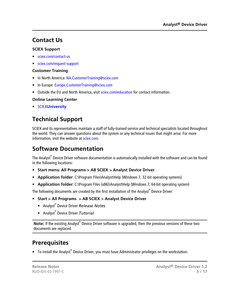### <span id="page-4-0"></span>**Contact Us**

### **SCIEX Support**

- [sciex.com/contact-us](https://sciex.com/contact-us)
- [sciex.com/request-support](https://sciex.com/request-support)

### **Customer Training**

- In North America: [NA.CustomerTraining@sciex.com](mailto:NA.CustomerTraining@sciex.com)
- In Europe: [Europe.CustomerTraining@sciex.com](mailto:Europe.CustomerTraining@sciex.com)
- Outside the EU and North America, visit [sciex.com/education](https://sciex.com/education) for contact information.

### **Online Learning Center**

<span id="page-4-1"></span>• SCIEX**[University](https://training.sciex.com)**

### **Technical Support**

<span id="page-4-2"></span>SCIEX and its representatives maintain a staff of fully-trained service and technical specialists located throughout the world. They can answer questions about the system or any technical issues that might arise. For more information, visit the website at [sciex.com.](https://sciex.com)

### **Software Documentation**

The Analyst $^\circ$  Device Driver software documentation is automatically installed with the software and can be found in the following locations:

- **Start menu**: **All Programs > AB SCIEX > Analyst Device Driver**
- **Application folder**: C:\Program Files\Analyst\Help (Windows 7, 32-bit operating systems)
- **Application folder**: C:\Program Files (x86)\Analyst\Help (Windows 7, 64-bit operating system)

The following documents are created by the first installation of the Analyst<sup>®</sup> Device Driver:

- **Start > All Programs > AB SCIEX > Analyst Device Driver**
	- Analyst® Device Driver *Release Notes*
	- Analyst® Device Driver *Tutorial*

<span id="page-4-3"></span>Note: If the existing Analyst<sup>®</sup> Device Driver software is upgraded, then the previous versions of these two documents are replaced.

### **Prerequisites**

• To install the Analyst<sup>®</sup> Device Driver, you must have Administrator privileges on the workstation.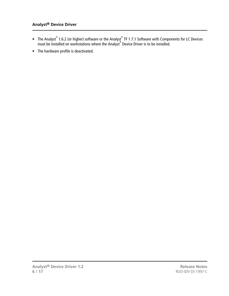- The Analyst® 1.6.2 (or higher) software or the Analyst® TF 1.7.1 Software with Components for LC Devices must be installed on workstations where the Analyst® Device Driver is to be installed.
- The hardware profile is deactivated.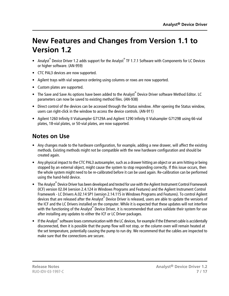## <span id="page-6-0"></span>**New Features and Changes from Version 1.1 to Version 1.2**

- Analyst<sup>®</sup> Device Driver 1.2 adds support for the Analyst<sup>®</sup> TF 1.7.1 Software with Components for LC Devices or higher software. (AN-959)
- CTC PAL3 devices are now supported.
- Agilent trays with vial sequence ordering using columns or rows are now supported.
- Custom plates are supported.
- The Save and Save As options have been added to the Analyst® Device Driver software Method Editor. LC parameters can now be saved to existing method files. (AN-938)
- Direct control of the devices can be accessed through the Status window. After opening the Status window, users can right-click in the window to access the device controls. (AN-911)
- <span id="page-6-1"></span>• Agilent 1260 Infinity II Vialsampler G7129A and Agilent 1290 Infinity II Vialsampler G7129B using 66-vial plates, 18-vial plates, or 50-vial plates, are now supported.

### **Notes on Use**

- Any changes made to the hardware configuration, for example, adding a new drawer, will affect the existing methods. Existing methods might not be compatible with the new hardware configuration and should be created again.
- Any physical impact to the CTC PAL3 autosampler, such as a drawer hitting an object or an arm hitting or being stopped by an external object, might cause the system to stop responding correctly. If this issue occurs, then the whole system might need to be re-calibrated before it can be used again. Re-calibration can be performed using the hand-held device.
- The Analyst® Device Driver has been developed and tested for use with the Agilent Instrument Control Framework (ICF) version 02.04 (version 2.4.124 in Windows Programs and Features) and the Agilent Instrument Control Framework - LC Drivers A.02.14 SP1 (version 2.14.115 in Windows Programs and Features). To control Agilent devices that are released after the Analyst® Device Driver is released, users are able to update the versions of the ICF and the LC Drivers installed on the computer. While it is expected that these updates will not interfere with the functioning of the Analyst® Device Driver, it is recommended that users validate their system for use after installing any updates to either the ICF or LC Driver packages.
- If the Analyst<sup>®</sup> software loses communication with the LC devices, for example if the Ethernet cable is accidentally disconnected, then it is possible that the pump flow will not stop, or the column oven will remain heated at the set temperature, potentially causing the pump to run dry. We recommend that the cables are inspected to make sure that the connections are secure.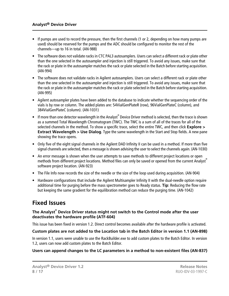- If pumps are used to record the pressure, then the first channels (1 or 2, depending on how many pumps are used) should be reserved for the pumps and the ADC should be configured to monitor the rest of the channels—up to 16 in total. (AN-988)
- The software does not validate racks in CTC PAL3 autosamplers. Users can select a different rack or plate other than the one selected in the autosampler and injection is still triggered. To avoid any issues, make sure that the rack or plate in the autosampler matches the rack or plate selected in the Batch before starting acquisition. (AN-994)
- The software does not validate racks in Agilent autosamplers. Users can select a different rack or plate other than the one selected in the autosampler and injection is still triggered. To avoid any issues, make sure that the rack or plate in the autosampler matches the rack or plate selected in the Batch before starting acquisition. (AN-995)
- Agilent autosampler plates have been added to the database to indicate whether the sequencing order of the vials is by row or column. The added plates are: 54VialGenPlateR (row), 96VialGenPlateC (column), and 384VialGenPlateC (column). (AN-1031)
- If more than one detector wavelength in the Analyst® Device Driver method is selected, then the trace is shown as a summed Total Wavelength Chromatogram (TWC). The TWC is a sum of all of the traces for all of the selected channels in the method. To show a specific trace, select the entire TWC, and then click **Explore > Extract Wavelength > Use Dialog**. Type the same wavelength in the Start and Stop fields. A new pane showing the trace opens.
- Only five of the eight signal channels in the Agilent DAD Infinity II can be used in a method. If more than five signal channels are selected, then a message is shown advising the user to select the channels again. (AN-1030)
- An error message is shown when the user attempts to save methods to different project locations or open methods from different project locations. Method files can only be saved or opened from the current Analyst<sup>®</sup> software project location. (AN-923)
- The File Info now records the size of the needle or the size of the loop used during acquisition. (AN-904)
- <span id="page-7-0"></span>• Hardware configurations that include the Agilent Multisampler Infinity II with the dual-needle option require additional time for purging before the mass spectrometer goes to Ready status. **Tip**: Reducing the flow rate but keeping the same gradient for the equilibration method can reduce the purging time. (AN-1042)

### **Fixed Issues**

#### **The Analyst® Device Driver status might not switch to the Control mode after the user deactivates the hardware profile (ATF-604)**

This issue has been fixed in version 1.2. Direct control becomes available after the hardware profile is activated.

#### **Custom plates are not added to the Location tab in the Batch Editor in version 1.1 (AN-898)**

In version 1.1, users were unable to use the RackBuilder.exe to add custom plates to the Batch Editor. In version 1.2, users can now add custom plates to the Batch Editor.

### **Users can append changes to the LC parameters in a method to non-existent files (AN-837)**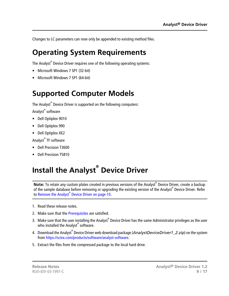<span id="page-8-0"></span>Changes to LC parameters can now only be appended to existing method files.

## **Operating System Requirements**

The Analyst $^\circ$  Device Driver requires one of the following operating systems:

- Microsoft Windows 7 SP1 (32-bit)
- <span id="page-8-1"></span>• Microsoft Windows 7 SP1 (64-bit)

## **Supported Computer Models**

The Analyst<sup>®</sup> Device Driver is supported on the following computers: Analyst® software

- Dell Optiplex 9010
- Dell Optiplex 990
- Dell Optiplex XE2

Analyst® TF software

- <span id="page-8-2"></span>• Dell Precision T3600
- Dell Precision T5810

## **Install the Analyst® Device Driver**

**Note:** To retain any custom plates created in previous versions of the Analyst® Device Driver, create a backup of the sample database before removing or upgrading the existing version of the Analyst® Device Driver. Refer to Remove the Analyst<sup>®</sup> [Device Driver on page 10.](#page-9-0)

- 1. Read these release notes.
- 2. Make sure that the [Prerequisites](#page-4-3) are satisfied.
- 3. Make sure that the user installing the Analyst® Device Driver has the same Administrator privileges as the user who installed the Analyst<sup>®</sup> software.
- 4. Download the Analyst<sup>®</sup> Device Driver web download package (*AnalystDeviceDriver1\_2.zip*) on the system from [https://sciex.com/products/software/analyst-software.](https://sciex.com/products/software/analyst-software)
- 5. Extract the files from the compressed package to the local hard drive.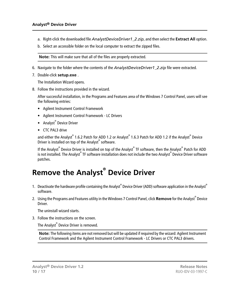- a. Right-click the downloaded file *AnalystDeviceDriver1\_2.zip*, and then select the **Extract All** option.
- b. Select an accessible folder on the local computer to extract the zipped files.

**Note:** This will make sure that all of the files are properly extracted.

- 6. Navigate to the folder where the contents of the *AnalystDeviceDriver1\_2.zip* file were extracted.
- 7. Double-click **setup.exe** .

The Installation Wizard opens.

8. Follow the instructions provided in the wizard.

After successful installation, in the Programs and Features area of the Windows 7 Control Panel, users will see the following entries:

- Agilent Instrument Control Framework
- Agilent Instrument Control Framework LC Drivers
- Analyst<sup>®</sup> Device Driver
- CTC PAL3 drive

and either the Analyst® 1.6.2 Patch for ADD 1.2 or Analyst® 1.6.3 Patch for ADD 1.2 if the Analyst® Device Driver is installed on top of the Analyst® software.

<span id="page-9-0"></span>If the Analyst<sup>®</sup> Device Driver is installed on top of the Analyst<sup>®</sup> TF software, then the Analyst<sup>®</sup> Patch for ADD is not installed. The Analyst® TF software installation does not include the two Analyst® Device Driver software patches.

## **Remove the Analyst® Device Driver**

- 1. Deactivate the hardware profile containing the Analyst® Device Driver (ADD) software application in the Analyst® software.
- 2. Using the Programs and Features utility in the Windows 7 Control Panel, click **Remove** for the Analyst® Device Driver.

The uninstall wizard starts.

3. Follow the instructions on the screen.

The Analyst® Device Driver is removed.

**Note:** The following items are not removed but will be updated if required by the wizard: Agilent Instrument Control Framework and the Agilent Instrument Control Framework - LC Drivers or CTC PAL3 drivers.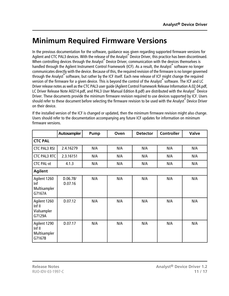## <span id="page-10-0"></span>**Minimum Required Firmware Versions**

In the previous documentation for the software, guidance was given regarding supported firmware versions for Agilent and CTC PAL3 devices. With the release of the Analyst® Device Driver, this practice has been discontinued. When controlling devices through the Analyst® Device Driver, communication with the devices themselves is handled through the Agilent Instrument Control Framework (ICF). As a result, the Analyst® software no longer communicates directly with the device. Because of this, the required revision of the firmware is no longer governed through the Analyst® software, but rather by the ICF itself. Each new release of ICF might change the required version of the firmware for a given device. This is beyond the control of the Analyst® software. The ICF and LC Driver release notes as well as the CTC PAL3 user guide (Agilent Control Framework Release Information A.02.04.pdf, LC Driver Release Note A0214.pdf, and PAL3 User Manual Edition 8.pdf) are distributed with the Analyst® Device Driver. These documents provide the minimum firmware revision required to use devices supported by ICF. Users should refer to these document before selecting the firmware revision to be used with the Analyst® Device Driver on their device.

|                                                  | Autosampler         | Pump | Oven | <b>Detector</b> | <b>Controller</b> | <b>Valve</b> |
|--------------------------------------------------|---------------------|------|------|-----------------|-------------------|--------------|
| <b>CTC PAL</b>                                   |                     |      |      |                 |                   |              |
| <b>CTC PAL3 RSI</b>                              | 2.4.16279           | N/A  | N/A  | N/A             | N/A               | N/A          |
| <b>CTC PAL3 RTC</b>                              | 2.3.16151           | N/A  | N/A  | N/A             | N/A               | N/A          |
| <b>CTC PAL-xt</b>                                | 4.1.3               | N/A  | N/A  | N/A             | N/A               | N/A          |
| <b>Agilent</b>                                   |                     |      |      |                 |                   |              |
| Agilent 1260<br>Inf<br>Multisampler<br>G7167A    | D.06.78/<br>D.07.16 | N/A  | N/A  | N/A             | N/A               | N/A          |
| Agilent 1260<br>Inf II<br>Vialsampler<br>G7129A  | D.07.12             | N/A  | N/A  | N/A             | N/A               | N/A          |
| Agilent 1290<br>Inf II<br>Multisampler<br>G7167B | D.07.17             | N/A  | N/A  | N/A             | N/A               | N/A          |

If the installed version of the ICF is changed or updated, then the minimum firmware revision might also change. Users should refer to the documentation accompanying any future ICF updates for information on minimum firmware versions.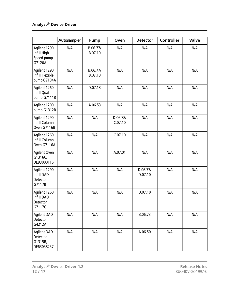### **Analyst® Device Driver**

|                                                         | Autosampler | Pump                | Oven                | <b>Detector</b>     | <b>Controller</b> | <b>Valve</b> |
|---------------------------------------------------------|-------------|---------------------|---------------------|---------------------|-------------------|--------------|
| Agilent 1290<br>Inf II High<br>Speed pump<br>G7120A     | N/A         | B.06.77/<br>B.07.10 | N/A                 | N/A                 | N/A               | N/A          |
| Agilent 1290<br>Inf II Flexible<br>pump G7104A          | N/A         | B.06.77/<br>B.07.10 | N/A                 | N/A                 | N/A               | N/A          |
| Agilent 1260<br>Inf II Quat<br>pump G7111B              | N/A         | D.07.13             | N/A                 | N/A                 | N/A               | N/A          |
| Agilent 1200<br>pump G1312B                             | N/A         | A.06.53             | N/A                 | N/A                 | N/A               | N/A          |
| Agilent 1290<br>Inf II Column<br>Oven G7116B            | N/A         | N/A                 | D.06.78/<br>C.07.10 | N/A                 | N/A               | N/A          |
| Agilent 1260<br>Inf II Column<br>Oven G7116A            | N/A         | N/A                 | C.07.10             | N/A                 | N/A               | N/A          |
| <b>Agilent Oven</b><br>G1316C,<br>DE93000116            | N/A         | N/A                 | A.07.01             | N/A                 | N/A               | N/A          |
| Agilent 1290<br>Inf II DAD<br>Detector<br>G7117B        | N/A         | N/A                 | N/A                 | D.06.77/<br>D.07.10 | N/A               | N/A          |
| Agilent 1260<br>Inf II DAD<br>Detector<br>G7117C        | N/A         | N/A                 | N/A                 | D.07.10             | N/A               | N/A          |
| <b>Agilent DAD</b><br>Detector<br>G4212A                | N/A         | N/A                 | N/A                 | B.06.73             | N/A               | N/A          |
| <b>Agilent DAD</b><br>Detector<br>G1315B,<br>DE63058257 | N/A         | N/A                 | N/A                 | A.06.50             | N/A               | N/A          |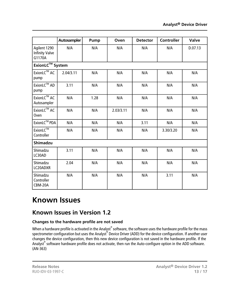|                                                 | Autosampler            | Pump | Oven      | <b>Detector</b> | <b>Controller</b> | <b>Valve</b> |
|-------------------------------------------------|------------------------|------|-----------|-----------------|-------------------|--------------|
| Agilent 1290<br><b>Infinity Valve</b><br>G1170A | N/A                    | N/A  | N/A       | N/A             | N/A               | D.07.13      |
|                                                 | <b>ExionLC™</b> System |      |           |                 |                   |              |
| ExionLC™ AC<br>pump                             | 2.04/3.11              | N/A  | N/A       | N/A             | N/A               | N/A          |
| ExionLC™ AD<br>pump                             | 3.11                   | N/A  | N/A       | N/A             | N/A               | N/A          |
| ExionLC™ AC<br>Autosampler                      | N/A                    | 1.28 | N/A       | N/A             | N/A               | N/A          |
| ExionLC™ AC<br>Oven                             | N/A                    | N/A  | 2.03/3.11 | N/A             | N/A               | N/A          |
| ExionLC™ PDA                                    | N/A                    | N/A  | N/A       | 3.11            | N/A               | N/A          |
| ExionLC™<br>Controller                          | N/A                    | N/A  | N/A       | N/A             | 3.30/3.20         | N/A          |
| <b>Shimadzu</b>                                 |                        |      |           |                 |                   |              |
| Shimadzu<br>LC30AD                              | 3.11                   | N/A  | N/A       | N/A             | N/A               | N/A          |
| Shimadzu<br>LC20ADXR                            | 2.04                   | N/A  | N/A       | N/A             | N/A               | N/A          |
| Shimadzu<br>Controller<br>CBM-20A               | N/A                    | N/A  | N/A       | N/A             | 3.11              | N/A          |

## <span id="page-12-0"></span>**Known Issues**

### **Known Issues in Version 1.2**

### **Changes to the hardware profile are not saved**

When a hardware profile is activated in the Analyst $^{\circ}$  software, the software uses the hardware profile for the mass spectrometer configuration but uses the Analyst®Device Driver (ADD) for the device configuration. If another user changes the device configuration, then this new device configuration is not saved in the hardware profile. If the Analyst® software hardware profile does not activate, then run the Auto-configure option in the ADD software. (AN-363)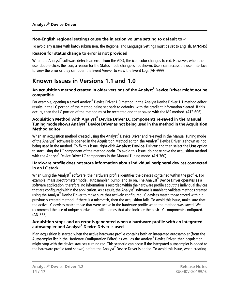#### **Non-English regional settings cause the injection volume setting to default to -1**

To avoid any issues with batch submission, the Regional and Language Settings must be set to English. (AN-945)

#### **Reason for status change to error is not provided**

When the Analyst<sup>®</sup> software detects an error from the ADD, the icon color changes to red. However, when the user double-clicks the icon, a reason for the Status mode change is not shown. Users can access the user interface to view the error or they can open the Event Viewer to view the Event Log. (AN-999)

### **Known Issues in Versions 1.1 and 1.0**

#### **An acquisition method created in older versions of the Analyst® Device Driver might not be compatible.**

For example, opening a saved Analyst® Device Driver 1.0 method in the Analyst Device Driver 1.1 method editor results in the LC portion of the method being set back to defaults, with the gradient information cleared. If this occurs, then the LC portion of the method must be recreated and then saved with the MS method. (ATF-606)

#### **Acquisition Method with Analyst® Device Driver LC components re-saved in the Manual Tuning mode shows Analyst® Device Driver as not being used in the method in the Acquisition Method editor**

When an acquisition method created using the Analyst® Device Driver and re-saved in the Manual Tuning mode of the Analyst® software is opened in the Acquisition Method editor, the Analyst® Device Driver is shown as not being used in the method. To fix this issue, right-click **Analyst Device Driver** and then select the **Use** option to start using the LC component of the method again. To avoid this issue, do not re-save the acquisition method with the Analyst® Device Driver LC components in the Manual Tuning mode. (AN-360)

#### **Hardware profile does not store information about individual peripheral devices connected in an LC stack**

When using the Analyst $^\circ$  software, the hardware profile identifies the devices contained within the profile. For example, mass spectrometer model, autosampler, pump, and so on. The Analyst® Device Driver operates as a software application, therefore, no information is recorded within the hardware profile about the individual devices that are configured within the application. As a result, the Analyst® software is unable to validate methods created using the Analyst® Device Driver to make sure that actively-configured LC devices match those stored within a previously created method. If there is a mismatch, then the acquisition fails. To avoid this issue, make sure that the active LC devices match those that were active in the hardware profile when the method was saved. We recommend the use of unique hardware profile names that also indicate the basic LC components configured. (AN-363)

#### **Acquisition stops and an error is generated when a hardware profile with an integrated autosampler and Analyst® Device Driver is used**

If an acquisition is started when the active hardware profile contains both an integrated autosampler (from the Autosampler list in the Hardware Configuration Editor) as well as the Analyst® Device Driver, then acquisition might stop with the device statuses turning red. This scenario can occur if the integrated autosampler is added to the hardware profile (and shown) before the Analyst® Device Driver is added. To avoid this issue, when creating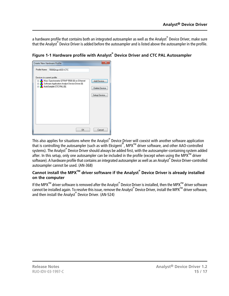a hardware profile that contains both an integrated autosampler as well as the Analyst® Device Driver, make sure that the Analyst® Device Driver is added before the autosampler and is listed above the autosampler in the profile.



**Figure 1-1 Hardware profile with Analyst® Device Driver and CTC PAL Autosampler**

This also applies for situations where the Analyst® Device Driver will coexist with another software application that is controlling the autosampler (such as with Eksigent<sup>®</sup>, MPX<sup>™</sup> driver software, and other AAO-controlled systems). The Analyst® Device Driver should always be added first, with the autosampler-containing system added after. In this setup, only one autosampler can be included in the profile (except when using the MPX<sup>TM</sup> driver software). A hardware profile that contains an integrated autosampler as well as an Analyst® Device Driver-controlled autosampler cannot be used. (AN-368)

#### **Cannot install the MPXTM driver software if the Analyst® Device Driver is already installed on the computer**

If the MPX™ driver software is removed after the Analyst® Device Driver is installed, then the MPX™ driver software cannot be installed again. To resolve this issue, remove the Analyst® Device Driver, install the MPX™ driver software, and then install the Analyst® Device Driver. (AN-524)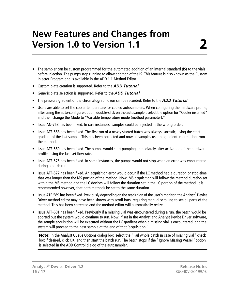# **New Features and Changes from Version 1.0 to Version 1.1**

- <span id="page-15-0"></span>• The sampler can be custom programmed for the automated addition of an internal standard (IS) to the vials before injection. The pumps stop running to allow addition of the IS. This feature is also known as the Custom Injector Program and is available in the ADD 1.1 Method Editor.
- Custom plate creation is supported. Refer to the *ADD Tutorial*.
- Generic plate selection is supported. Refer to the *ADD Tutorial*.
- The pressure gradient of the chromatographic run can be recorded. Refer to the *ADD Tutorial*
- Users are able to set the cooler temperature for cooled autosamplers. When configuring the hardware profile, after using the auto-configure option, double-click on the autosampler, select the option for "Cooler installed" and then change the Mode to "Variable temperature mode (method parameter)."
- Issue AN-768 has been fixed. In rare instances, samples could be injected in the wrong order.
- Issue ATF-568 has been fixed. The first run of a newly started batch was always isocratic, using the start gradient of the last sample. This has been corrected and now all samples use the gradient information from the method.
- Issue ATF-569 has been fixed. The pumps would start pumping immediately after activation of the hardware profile, using the last set flow rate.
- Issue ATF-575 has been fixed. In some instances, the pumps would not stop when an error was encountered during a batch run.
- Issue ATF-577 has been fixed. An acquisition error would occur if the LC method had a duration or stop-time that was longer than the MS portion of the method. Now, MS acquisition will follow the method duration set within the MS method and the LC devices will follow the duration set in the LC portion of the method. It is recommended however, that both methods be set to the same duration.
- Issue ATF-589 has been fixed. Previously depending on the resolution of the user's monitor, the Analyst<sup>®</sup> Device Driver method editor may have been shown with scroll-bars, requiring manual scrolling to see all parts of the method. This has been corrected and the method editor will automatically resize.
- Issue ATF-601 has been fixed. Previously if a missing vial was encountered during a run, the batch would be aborted but the system would continue to run. Now, if set in the Analyst and Analyst Device Driver software, the sample acquisition will be executed without the LC gradient when a missing vial is encountered, and the system will proceed to the next sample at the end of that 'acquisition.'

**Note:** In the Analyst Queue Options dialog box, select the "Fail whole batch in case of missing vial" check box if desired, click OK, and then start the batch run. The batch stops if the "Ignore Missing Vessel "option is selected in the ADD Control dialog of the autosampler.